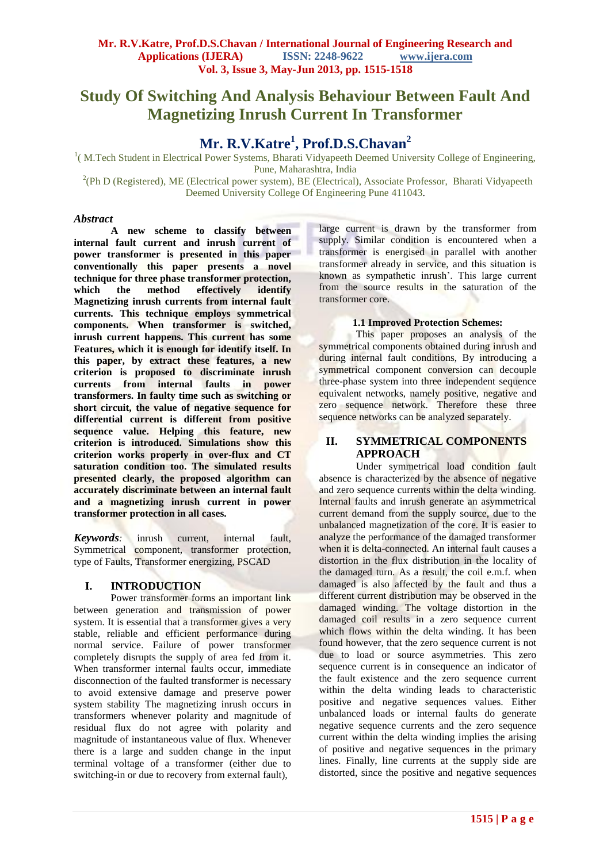# **Study Of Switching And Analysis Behaviour Between Fault And Magnetizing Inrush Current In Transformer**

# **Mr. R.V.Katre<sup>1</sup> , Prof.D.S.Chavan<sup>2</sup>**

<sup>1</sup>(M.Tech Student in Electrical Power Systems, Bharati Vidyapeeth Deemed University College of Engineering, Pune, Maharashtra, India

<sup>2</sup>(Ph D (Registered), ME (Electrical power system), BE (Electrical), Associate Professor, Bharati Vidyapeeth Deemed University College Of Engineering Pune 411043.

## *Abstract*

**A new scheme to classify between internal fault current and inrush current of power transformer is presented in this paper conventionally this paper presents a novel technique for three phase transformer protection, which the method effectively identify Magnetizing inrush currents from internal fault currents. This technique employs symmetrical components. When transformer is switched, inrush current happens. This current has some Features, which it is enough for identify itself. In this paper, by extract these features, a new criterion is proposed to discriminate inrush currents from internal faults in power transformers. In faulty time such as switching or short circuit, the value of negative sequence for differential current is different from positive sequence value. Helping this feature, new criterion is introduced. Simulations show this criterion works properly in over-flux and CT saturation condition too. The simulated results presented clearly, the proposed algorithm can accurately discriminate between an internal fault and a magnetizing inrush current in power transformer protection in all cases.** 

*Keywords:* inrush current, internal fault, Symmetrical component, transformer protection, type of Faults, Transformer energizing, PSCAD

# **I. INTRODUCTION**

Power transformer forms an important link between generation and transmission of power system. It is essential that a transformer gives a very stable, reliable and efficient performance during normal service. Failure of power transformer completely disrupts the supply of area fed from it. When transformer internal faults occur, immediate disconnection of the faulted transformer is necessary to avoid extensive damage and preserve power system stability The magnetizing inrush occurs in transformers whenever polarity and magnitude of residual flux do not agree with polarity and magnitude of instantaneous value of flux. Whenever there is a large and sudden change in the input terminal voltage of a transformer (either due to switching-in or due to recovery from external fault),

large current is drawn by the transformer from supply. Similar condition is encountered when a transformer is energised in parallel with another transformer already in service, and this situation is known as sympathetic inrush'. This large current from the source results in the saturation of the transformer core.

# **1.1 Improved Protection Schemes:**

This paper proposes an analysis of the symmetrical components obtained during inrush and during internal fault conditions, By introducing a symmetrical component conversion can decouple three-phase system into three independent sequence equivalent networks, namely positive, negative and zero sequence network. Therefore these three sequence networks can be analyzed separately.

# **II. SYMMETRICAL COMPONENTS APPROACH**

Under symmetrical load condition fault absence is characterized by the absence of negative and zero sequence currents within the delta winding. Internal faults and inrush generate an asymmetrical current demand from the supply source, due to the unbalanced magnetization of the core. It is easier to analyze the performance of the damaged transformer when it is delta-connected. An internal fault causes a distortion in the flux distribution in the locality of the damaged turn. As a result, the coil e.m.f. when damaged is also affected by the fault and thus a different current distribution may be observed in the damaged winding. The voltage distortion in the damaged coil results in a zero sequence current which flows within the delta winding. It has been found however, that the zero sequence current is not due to load or source asymmetries. This zero sequence current is in consequence an indicator of the fault existence and the zero sequence current within the delta winding leads to characteristic positive and negative sequences values. Either unbalanced loads or internal faults do generate negative sequence currents and the zero sequence current within the delta winding implies the arising of positive and negative sequences in the primary lines. Finally, line currents at the supply side are distorted, since the positive and negative sequences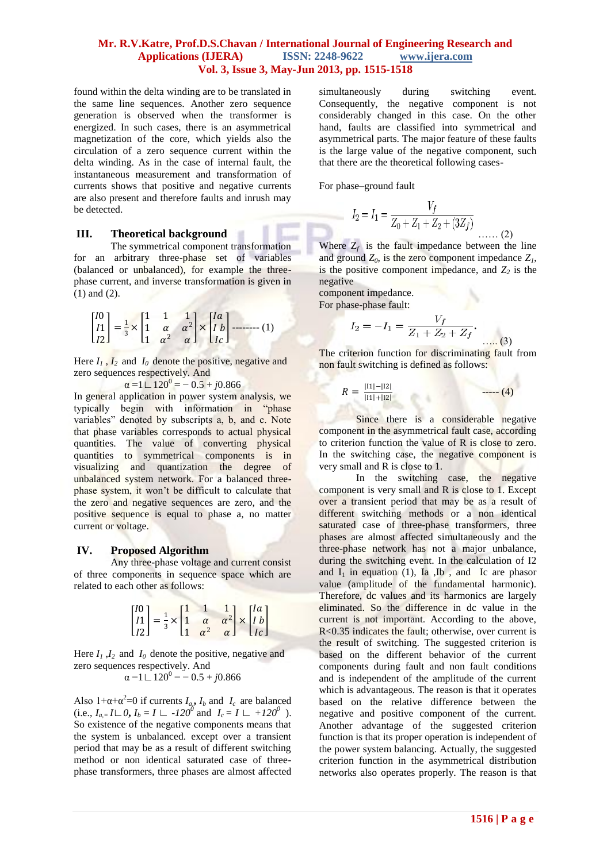## **Mr. R.V.Katre, Prof.D.S.Chavan / International Journal of Engineering Research and Applications (IJERA) ISSN: 2248-9622 www.ijera.com Vol. 3, Issue 3, May-Jun 2013, pp. 1515-1518**

found within the delta winding are to be translated in the same line sequences. Another zero sequence generation is observed when the transformer is energized. In such cases, there is an asymmetrical magnetization of the core, which yields also the circulation of a zero sequence current within the delta winding. As in the case of internal fault, the instantaneous measurement and transformation of currents shows that positive and negative currents are also present and therefore faults and inrush may be detected.

## **III. Theoretical background**

The symmetrical component transformation for an arbitrary three-phase set of variables (balanced or unbalanced), for example the threephase current, and inverse transformation is given in (1) and (2).

$$
\begin{bmatrix} I0 \\ I1 \\ I2 \end{bmatrix} = \frac{1}{3} \times \begin{bmatrix} 1 & 1 & 1 \\ 1 & \alpha & \alpha^2 \\ 1 & \alpha^2 & \alpha \end{bmatrix} \times \begin{bmatrix} Ia \\ Ib \\ Ic \end{bmatrix} \longrightarrow (1)
$$

Here  $I_1$ ,  $I_2$  and  $I_0$  denote the positive, negative and zero sequences respectively. And

 $\alpha = 1 \mathbf{L} 120^0 = -0.5 + j0.866$ 

In general application in power system analysis, we typically begin with information in "phase variables" denoted by subscripts a, b, and c. Note that phase variables corresponds to actual physical quantities. The value of converting physical quantities to symmetrical components is in visualizing and quantization the degree of unbalanced system network. For a balanced threephase system, it won't be difficult to calculate that the zero and negative sequences are zero, and the positive sequence is equal to phase a, no matter current or voltage.

#### **IV. Proposed Algorithm**

Any three-phase voltage and current consist of three components in sequence space which are related to each other as follows:

$$
\begin{bmatrix} I0 \\ I1 \\ I2 \end{bmatrix} = \frac{1}{3} \times \begin{bmatrix} 1 & 1 & 1 \\ 1 & \alpha & \alpha^2 \\ 1 & \alpha^2 & \alpha \end{bmatrix} \times \begin{bmatrix} Ia \\ Ib \\ Ic \end{bmatrix}
$$

Here  $I_1$ ,  $I_2$  and  $I_0$  denote the positive, negative and zero sequences respectively. And

 $\alpha = 1 \mathbf{1} \mathbf{1} 20^0 = -0.5 + j0.866$ 

Also  $1 + \alpha + \alpha^2 = 0$  if currents  $I_a$ ,  $I_b$  and  $I_c$  are balanced (i.e.,  $I_{a_i} = I \sqcup 0$ ,  $I_b = I \sqcup -120^0$  and  $I_c = I \sqcup +120^0$ ). So existence of the negative components means that the system is unbalanced. except over a transient period that may be as a result of different switching method or non identical saturated case of threephase transformers, three phases are almost affected

simultaneously during switching event. Consequently, the negative component is not considerably changed in this case. On the other hand, faults are classified into symmetrical and asymmetrical parts. The major feature of these faults is the large value of the negative component, such that there are the theoretical following cases-

For phase–ground fault

$$
I_2 = I_1 = \frac{V_f}{Z_0 + Z_1 + Z_2 + (3Z_f)}
$$
 (2)

Where  $Z_f$  is the fault impedance between the line and ground  $Z_0$ , is the zero component impedance  $Z_1$ , is the positive component impedance, and  $Z_2$  is the negative

component impedance.

For phase-phase fault:

$$
I_2 = -I_1 = \frac{V_f}{Z_1 + Z_2 + Z_f}.
$$
 (3)

The criterion function for discriminating fault from non fault switching is defined as follows:

$$
R = \frac{|11| - |12|}{|11| + |12|} \qquad \qquad \qquad \text{---(4)}
$$

Since there is a considerable negative component in the asymmetrical fault case, according to criterion function the value of R is close to zero. In the switching case, the negative component is very small and R is close to 1.

In the switching case, the negative component is very small and R is close to 1. Except over a transient period that may be as a result of different switching methods or a non identical saturated case of three-phase transformers, three phases are almost affected simultaneously and the three-phase network has not a major unbalance, during the switching event. In the calculation of I2 and  $I_1$  in equation (1), Ia , Ib , and Ic are phasor value (amplitude of the fundamental harmonic). Therefore, dc values and its harmonics are largely eliminated. So the difference in dc value in the current is not important. According to the above, R<0.35 indicates the fault; otherwise, over current is the result of switching. The suggested criterion is based on the different behavior of the current components during fault and non fault conditions and is independent of the amplitude of the current which is advantageous. The reason is that it operates based on the relative difference between the negative and positive component of the current. Another advantage of the suggested criterion function is that its proper operation is independent of the power system balancing. Actually, the suggested criterion function in the asymmetrical distribution networks also operates properly. The reason is that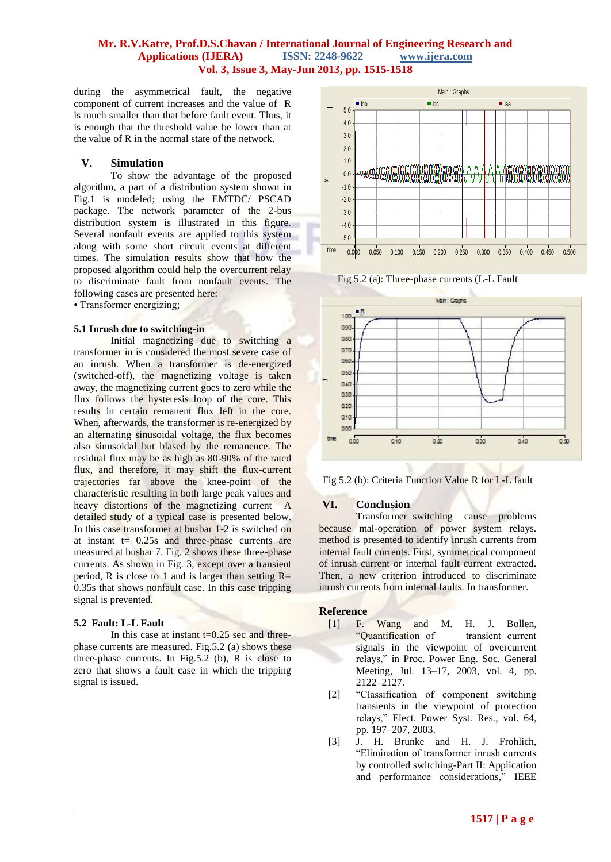## **Mr. R.V.Katre, Prof.D.S.Chavan / International Journal of Engineering Research and Applications (IJERA) ISSN: 2248-9622 www.ijera.com Vol. 3, Issue 3, May-Jun 2013, pp. 1515-1518**

during the asymmetrical fault, the negative component of current increases and the value of R is much smaller than that before fault event. Thus, it is enough that the threshold value be lower than at the value of R in the normal state of the network.

# **V. Simulation**

To show the advantage of the proposed algorithm, a part of a distribution system shown in Fig.1 is modeled; using the EMTDC/ PSCAD package. The network parameter of the 2-bus distribution system is illustrated in this figure. Several nonfault events are applied to this system along with some short circuit events at different times. The simulation results show that how the proposed algorithm could help the overcurrent relay to discriminate fault from nonfault events. The following cases are presented here:

• Transformer energizing;

## **5.1 Inrush due to switching-in**

Initial magnetizing due to switching a transformer in is considered the most severe case of an inrush. When a transformer is de-energized (switched-off), the magnetizing voltage is taken away, the magnetizing current goes to zero while the flux follows the hysteresis loop of the core. This results in certain remanent flux left in the core. When, afterwards, the transformer is re-energized by an alternating sinusoidal voltage, the flux becomes also sinusoidal but biased by the remanence. The residual flux may be as high as 80-90% of the rated flux, and therefore, it may shift the flux-current trajectories far above the knee-point of the characteristic resulting in both large peak values and heavy distortions of the magnetizing current A detailed study of a typical case is presented below. In this case transformer at busbar 1-2 is switched on at instant  $t = 0.25s$  and three-phase currents are measured at busbar 7. Fig. 2 shows these three-phase currents. As shown in Fig. 3, except over a transient period, R is close to 1 and is larger than setting  $R=$ 0.35s that shows nonfault case. In this case tripping signal is prevented.

## **5.2 Fault: L-L Fault**

In this case at instant  $t=0.25$  sec and threephase currents are measured. Fig.5.2 (a) shows these three-phase currents. In Fig.5.2 (b), R is close to zero that shows a fault case in which the tripping signal is issued.



Fig 5.2 (a): Three-phase currents (L-L Fault





# **VI. Conclusion**

Transformer switching cause problems because mal-operation of power system relays. method is presented to identify inrush currents from internal fault currents. First, symmetrical component of inrush current or internal fault current extracted. Then, a new criterion introduced to discriminate inrush currents from internal faults. In transformer.

## **Reference**

- [1] F. Wang and M. H. J. Bollen, "Quantification of transient current signals in the viewpoint of overcurrent relays," in Proc. Power Eng. Soc. General Meeting, Jul. 13–17, 2003, vol. 4, pp. 2122–2127.
- [2] "Classification of component switching transients in the viewpoint of protection relays," Elect. Power Syst. Res., vol. 64, pp. 197–207, 2003.
- [3] J. H. Brunke and H. J. Frohlich, "Elimination of transformer inrush currents by controlled switching-Part II: Application and performance considerations," IEEE